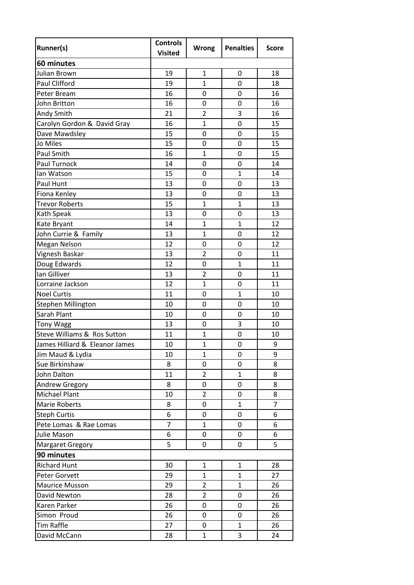| Runner(s)                      | <b>Controls</b><br><b>Visited</b> | Wrong          | <b>Penalties</b> | <b>Score</b>   |
|--------------------------------|-----------------------------------|----------------|------------------|----------------|
| 60 minutes                     |                                   |                |                  |                |
| Julian Brown                   | 19                                | $\mathbf{1}$   | $\mathbf 0$      | 18             |
| <b>Paul Clifford</b>           | 19                                | $\mathbf{1}$   | $\mathbf 0$      | 18             |
| Peter Bream                    | 16                                | 0              | 0                | 16             |
| John Britton                   | 16                                | $\mathbf 0$    | $\mathbf 0$      | 16             |
| Andy Smith                     | 21                                | $\overline{2}$ | 3                | 16             |
| Carolyn Gordon & David Gray    | 16                                | $\overline{1}$ | $\overline{0}$   | 15             |
| Dave Mawdsley                  | 15                                | $\mathbf 0$    | 0                | 15             |
| Jo Miles                       | 15                                | $\mathbf 0$    | $\mathbf 0$      | 15             |
| <b>Paul Smith</b>              | 16                                | $\overline{1}$ | 0                | 15             |
| <b>Paul Turnock</b>            | 14                                | 0              | 0                | 14             |
| lan Watson                     | 15                                | 0              | $\overline{1}$   | 14             |
| Paul Hunt                      | 13                                | 0              | 0                | 13             |
| Fiona Kenley                   | 13                                | $\mathbf 0$    | $\mathbf 0$      | 13             |
| <b>Trevor Roberts</b>          | 15                                | $\overline{1}$ | $\overline{1}$   | 13             |
| Kath Speak                     | 13                                | 0              | $\mathbf 0$      | 13             |
| Kate Bryant                    | 14                                | $\overline{1}$ | $\mathbf{1}$     | 12             |
| John Currie & Family           | 13                                | $\mathbf{1}$   | 0                | 12             |
| Megan Nelson                   | 12                                | $\mathbf 0$    | 0                | 12             |
| Vignesh Baskar                 | 13                                | $\overline{2}$ | 0                | 11             |
| Doug Edwards                   | 12                                | 0              | $\overline{1}$   | 11             |
| lan Gilliver                   | 13                                | $\overline{2}$ | $\mathbf 0$      | 11             |
| Lorraine Jackson               | 12                                | $\mathbf{1}$   | 0                | 11             |
| <b>Noel Curtis</b>             | 11                                | $\mathbf 0$    | $\mathbf{1}$     | 10             |
| Stephen Millington             | 10                                | 0              | 0                | 10             |
| Sarah Plant                    | 10                                | 0              | 0                | 10             |
| <b>Tony Wagg</b>               | 13                                | 0              | 3                | 10             |
| Steve Williams & Ros Sutton    | 11                                | 1              | $\mathbf 0$      | 10             |
| James Hilliard & Eleanor James | 10                                | $\overline{1}$ | $\overline{0}$   | 9              |
| Jim Maud & Lydia               | 10                                | $\mathbf{1}$   | 0                | 9              |
| Sue Birkinshaw                 | 8                                 | 0              | 0                | 8              |
| John Dalton                    | 11                                | $\overline{2}$ | $\mathbf{1}$     | 8              |
| Andrew Gregory                 | 8                                 | 0              | 0                | 8              |
| Michael Plant                  | 10                                | $\overline{2}$ | 0                | 8              |
| Marie Roberts                  | 8                                 | 0              | $\mathbf{1}$     | $\overline{7}$ |
| <b>Steph Curtis</b>            | 6                                 | 0              | 0                | 6              |
| Pete Lomas & Rae Lomas         | $\overline{7}$                    | $\mathbf{1}$   | 0                | 6              |
| Julie Mason                    | 6                                 | 0              | 0                | 6              |
| <b>Margaret Gregory</b>        | 5                                 | 0              | 0                | 5              |
| 90 minutes                     |                                   |                |                  |                |
| <b>Richard Hunt</b>            | 30                                | 1              | 1                | 28             |
| Peter Gorvett                  | 29                                | $\mathbf{1}$   | $\mathbf{1}$     | 27             |
| <b>Maurice Musson</b>          | 29                                | $\overline{2}$ | $\mathbf{1}$     | 26             |
| David Newton                   | 28                                | $\overline{2}$ | 0                | 26             |
| Karen Parker                   | 26                                | 0              | 0                | 26             |
| Simon Proud                    | 26                                | 0              | 0                | 26             |
| Tim Raffle                     | 27                                | 0              | $\mathbf{1}$     | 26             |
| David McCann                   | 28                                | $\mathbf{1}$   | 3                | 24             |